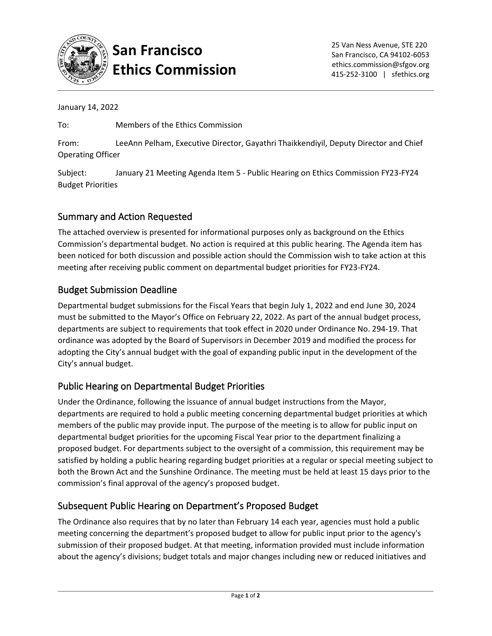

### **San Francisco Ethics Commission**

January 14, 2022

To: Members of the Ethics Commission

From: LeeAnn Pelham, Executive Director, Gayathri Thaikkendiyil, Deputy Director and Chief Operating Officer

Subject: January 21 Meeting Agenda Item 5 - Public Hearing on Ethics Commission FY23-FY24 Budget Priorities

#### Summary and Action Requested

The attached overview is presented for informational purposes only as background on the Ethics Commission's departmental budget. No action is required at this public hearing. The Agenda item has been noticed for both discussion and possible action should the Commission wish to take action at this meeting after receiving public comment on departmental budget priorities for FY23-FY24.

#### Budget Submission Deadline

Departmental budget submissions for the Fiscal Years that begin July 1, 2022 and end June 30, 2024 must be submitted to the Mayor's Office on February 22, 2022. As part of the annual budget process, departments are subject to requirements that took effect in 2020 under Ordinance No. 294-19. That ordinance was adopted by the Board of Supervisors in December 2019 and modified the process for adopting the City's annual budget with the goal of expanding public input in the development of the City's annual budget.

#### Public Hearing on Departmental Budget Priorities

Under the Ordinance, following the issuance of annual budget instructions from the Mayor, departments are required to hold a public meeting concerning departmental budget priorities at which members of the public may provide input. The purpose of the meeting is to allow for public input on departmental budget priorities for the upcoming Fiscal Year prior to the department finalizing a proposed budget. For departments subject to the oversight of a commission, this requirement may be satisfied by holding a public hearing regarding budget priorities at a regular or special meeting subject to both the Brown Act and the Sunshine Ordinance. The meeting must be held at least 15 days prior to the commission's final approval of the agency's proposed budget.

#### Subsequent Public Hearing on Department's Proposed Budget

The Ordinance also requires that by no later than February 14 each year, agencies must hold a public meeting concerning the department's proposed budget to allow for public input prior to the agency's submission of their proposed budget. At that meeting, information provided must include information about the agency's divisions; budget totals and major changes including new or reduced initiatives and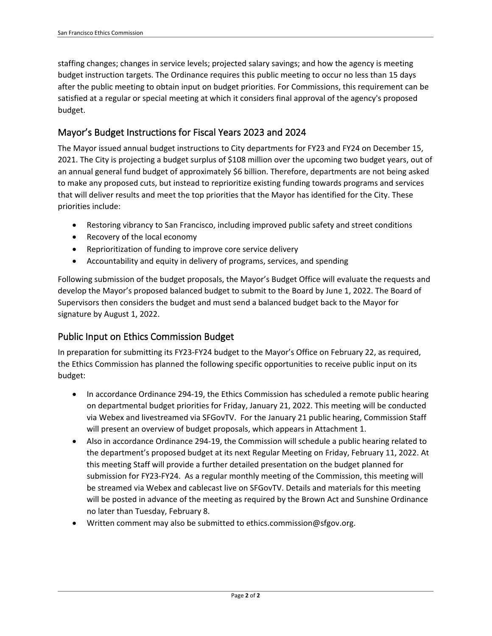staffing changes; changes in service levels; projected salary savings; and how the agency is meeting budget instruction targets. The Ordinance requires this public meeting to occur no less than 15 days after the public meeting to obtain input on budget priorities. For Commissions, this requirement can be satisfied at a regular or special meeting at which it considers final approval of the agency's proposed budget.

#### Mayor's Budget Instructions for Fiscal Years 2023 and 2024

The Mayor issued annual budget instructions to City departments for FY23 and FY24 on December 15, 2021. The City is projecting a budget surplus of \$108 million over the upcoming two budget years, out of an annual general fund budget of approximately \$6 billion. Therefore, departments are not being asked to make any proposed cuts, but instead to reprioritize existing funding towards programs and services that will deliver results and meet the top priorities that the Mayor has identified for the City. These priorities include:

- Restoring vibrancy to San Francisco, including improved public safety and street conditions
- Recovery of the local economy
- Reprioritization of funding to improve core service delivery
- Accountability and equity in delivery of programs, services, and spending

Following submission of the budget proposals, the Mayor's Budget Office will evaluate the requests and develop the Mayor's proposed balanced budget to submit to the Board by June 1, 2022. The Board of Supervisors then considers the budget and must send a balanced budget back to the Mayor for signature by August 1, 2022.

#### Public Input on Ethics Commission Budget

In preparation for submitting its FY23-FY24 budget to the Mayor's Office on February 22, as required, the Ethics Commission has planned the following specific opportunities to receive public input on its budget:

- In accordance Ordinance 294-19, the Ethics Commission has scheduled a remote public hearing on departmental budget priorities for Friday, January 21, 2022. This meeting will be conducted via Webex and livestreamed via SFGovTV. For the January 21 public hearing, Commission Staff will present an overview of budget proposals, which appears in Attachment 1.
- Also in accordance Ordinance 294-19, the Commission will schedule a public hearing related to the department's proposed budget at its next Regular Meeting on Friday, February 11, 2022. At this meeting Staff will provide a further detailed presentation on the budget planned for submission for FY23-FY24. As a regular monthly meeting of the Commission, this meeting will be streamed via Webex and cablecast live on SFGovTV. Details and materials for this meeting will be posted in advance of the meeting as required by the Brown Act and Sunshine Ordinance no later than Tuesday, February 8.
- Written comment may also be submitted to ethics.commission@sfgov.org.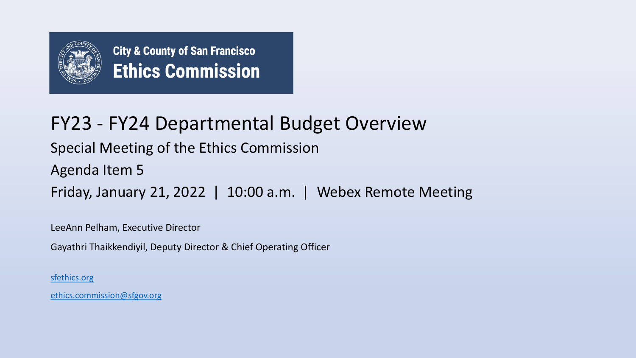

## FY23 - FY24 Departmental Budget Overview

Special Meeting of the Ethics Commission

Agenda Item 5

Friday, January 21, 2022 | 10:00 a.m. | Webex Remote Meeting

LeeAnn Pelham, Executive Director

Gayathri Thaikkendiyil, Deputy Director & Chief Operating Officer

[sfethics.org](https://sfethics.org/)

[ethics.commission@sfgov.org](mailto:ethics.commission@sfgov.org)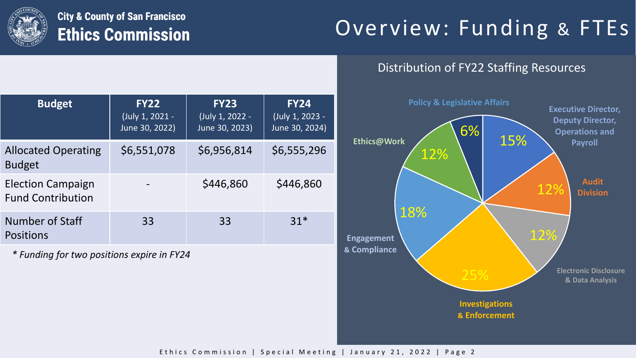

# Overview: Funding & FTEs

### Distribution of FY22 Staffing Resources

| <b>Budget</b>                                        | <b>FY22</b><br>(July 1, 2021 -<br>June 30, 2022) | <b>FY23</b><br>(July 1, 2022 -<br>June 30, 2023) | <b>FY24</b><br>(July 1, 2023 -<br>June 30, 2024) |
|------------------------------------------------------|--------------------------------------------------|--------------------------------------------------|--------------------------------------------------|
| <b>Allocated Operating</b><br><b>Budget</b>          | \$6,551,078                                      | \$6,956,814                                      | \$6,555,296                                      |
| <b>Election Campaign</b><br><b>Fund Contribution</b> |                                                  | \$446,860                                        | \$446,860                                        |
| Number of Staff<br><b>Positions</b>                  | 33                                               | 33                                               | $31*$                                            |

*\* Funding for two positions expire in FY24*

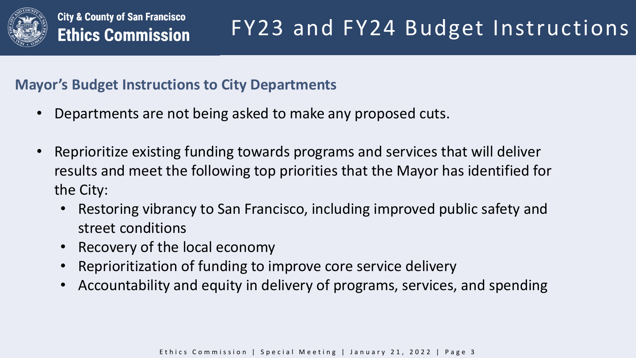

### **Mayor's Budget Instructions to City Departments**

- Departments are not being asked to make any proposed cuts.
- Reprioritize existing funding towards programs and services that will deliver results and meet the following top priorities that the Mayor has identified for the City:
	- Restoring vibrancy to San Francisco, including improved public safety and street conditions
	- Recovery of the local economy
	- Reprioritization of funding to improve core service delivery
	- Accountability and equity in delivery of programs, services, and spending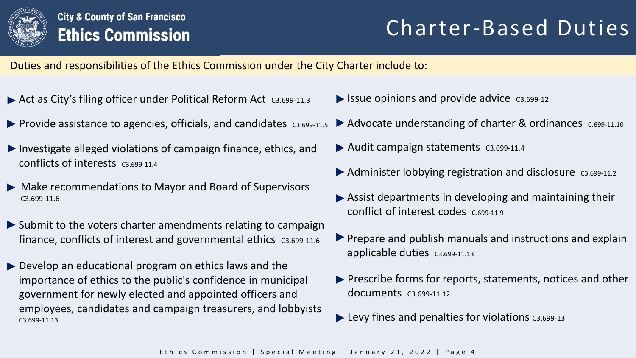

# Charter-Based Duties

Duties and responsibilities of the Ethics Commission under the City Charter include to:

- ▶ Act as City's filing officer under Political Reform Act c3.699-11.3
- $\blacktriangleright$  Provide assistance to agencies, officials, and candidates  $\cos\theta$
- Investigate alleged violations of campaign finance, ethics, and  $\blacktriangleright$  Audit campaign statements  $\text{C3.699-11.4}$ conflicts of interests C3.699-11.4
- Make recommendations to Mayor and Board of Supervisors C3.699-11.6
- $\triangleright$  Submit to the voters charter amendments relating to campaign finance, conflicts of interest and governmental ethics c3.699-11.6
- Develop an educational program on ethics laws and the importance of ethics to the public's confidence in municipal government for newly elected and appointed officers and employees, candidates and campaign treasurers, and lobbyists C3.699-11.13
- $\blacktriangleright$  Issue opinions and provide advice  $\cos 699-12$
- $\blacktriangleright$  Advocate understanding of charter & ordinances  $c.\epsilon$ 699-11.10
- 
- $\blacktriangleright$  Administer lobbying registration and disclosure  $\cos\theta$ .
- Assist departments in developing and maintaining their conflict of interest codes C.699-11.9
- $\blacktriangleright$  Prepare and publish manuals and instructions and explain applicable duties c3.699-11.13
- **Prescribe forms for reports, statements, notices and other** documents C3.699-11.12
- $\blacktriangleright$  Levy fines and penalties for violations  $c_3$ .699-13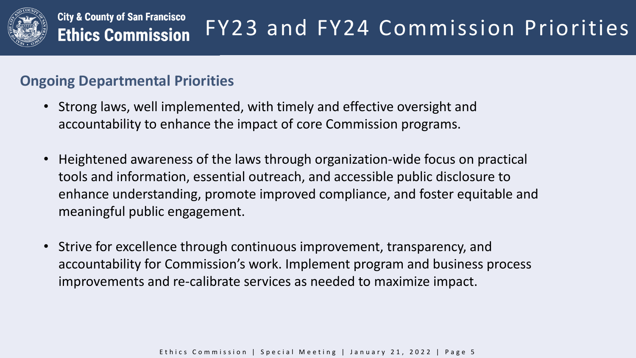

#### **City & County of San Francisco** FY23 and FY24 Commission Priorities **Ethics Commission**

### **Ongoing Departmental Priorities**

- Strong laws, well implemented, with timely and effective oversight and accountability to enhance the impact of core Commission programs.
- Heightened awareness of the laws through organization-wide focus on practical tools and information, essential outreach, and accessible public disclosure to enhance understanding, promote improved compliance, and foster equitable and meaningful public engagement.
- Strive for excellence through continuous improvement, transparency, and accountability for Commission's work. Implement program and business process improvements and re-calibrate services as needed to maximize impact.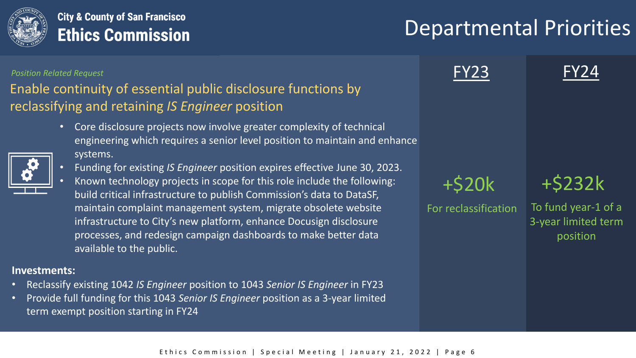

# Departmental Priorities

#### *Position Related Request*

### Enable continuity of essential public disclosure functions by reclassifying and retaining *IS Engineer* position

• Core disclosure projects now involve greater complexity of technical engineering which requires a senior level position to maintain and enhance systems.



• Known technology projects in scope for this role include the following: build critical infrastructure to publish Commission's data to DataSF, maintain complaint management system, migrate obsolete website infrastructure to City's new platform, enhance Docusign disclosure processes, and redesign campaign dashboards to make better data available to the public.

#### **Investments:**

- Reclassify existing 1042 *IS Engineer* position to 1043 *Senior IS Engineer* in FY23
- Provide full funding for this 1043 *Senior IS Engineer* position as a 3-year limited term exempt position starting in FY24

**FY23** 

+\$20k +\$232k

For reclassification To fund year-1 of a 3-year limited term position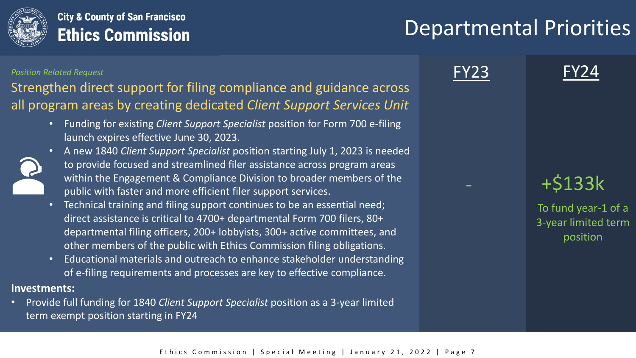

## Departmental Priorities

#### *Position Related Request*

Strengthen direct support for filing compliance and guidance across all program areas by creating dedicated *Client Support Services Unit*

> • Funding for existing *Client Support Specialist* position for Form 700 e-filing launch expires effective June 30, 2023.



- A new 1840 *Client Support Specialist* position starting July 1, 2023 is needed to provide focused and streamlined filer assistance across program areas within the Engagement & Compliance Division to broader members of the public with faster and more efficient filer support services.
- Technical training and filing support continues to be an essential need; direct assistance is critical to 4700+ departmental Form 700 filers, 80+ departmental filing officers, 200+ lobbyists, 300+ active committees, and other members of the public with Ethics Commission filing obligations.
- Educational materials and outreach to enhance stakeholder understanding of e-filing requirements and processes are key to effective compliance.

#### **Investments:**

• Provide full funding for 1840 *Client Support Specialist* position as a 3-year limited term exempt position starting in FY24





- +\$133k

To fund year-1 of a 3-year limited term position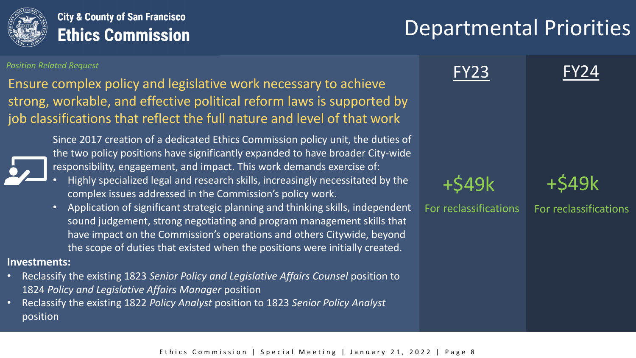

# Departmental Priorities

#### *Position Related Request*

Ensure complex policy and legislative work necessary to achieve strong, workable, and effective political reform laws is supported by job classifications that reflect the full nature and level of that work



Since 2017 creation of a dedicated Ethics Commission policy unit, the duties of the two policy positions have significantly expanded to have broader City-wide responsibility, engagement, and impact. This work demands exercise of:

- Highly specialized legal and research skills, increasingly necessitated by the complex issues addressed in the Commission's policy work.
- Application of significant strategic planning and thinking skills, independent sound judgement, strong negotiating and program management skills that have impact on the Commission's operations and others Citywide, beyond the scope of duties that existed when the positions were initially created.

#### **Investments:**

- Reclassify the existing 1823 *Senior Policy and Legislative Affairs Counsel* position to 1824 *Policy and Legislative Affairs Manager* position
- Reclassify the existing 1822 *Policy Analyst* position to 1823 *Senior Policy Analyst*  position

**FY23** 

+\$49k +\$49k

For reclassifications For reclassifications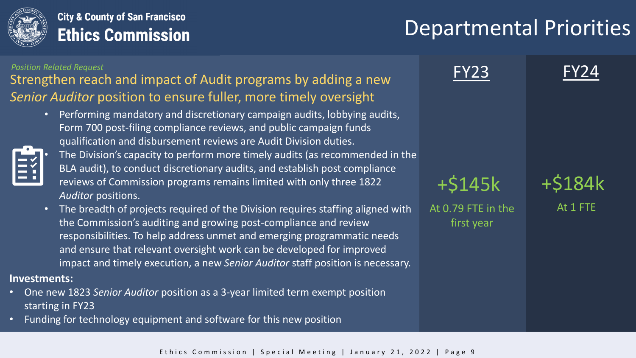

# Departmental Priorities

### Strengthen reach and impact of Audit programs by adding a new *Senior Auditor* position to ensure fuller, more timely oversight *Position Related Request*

• Performing mandatory and discretionary campaign audits, lobbying audits, Form 700 post-filing compliance reviews, and public campaign funds qualification and disbursement reviews are Audit Division duties.



• The Division's capacity to perform more timely audits (as recommended in the BLA audit), to conduct discretionary audits, and establish post compliance reviews of Commission programs remains limited with only three 1822 *Auditor* positions.

• The breadth of projects required of the Division requires staffing aligned with the Commission's auditing and growing post-compliance and review responsibilities. To help address unmet and emerging programmatic needs and ensure that relevant oversight work can be developed for improved impact and timely execution, a new *Senior Auditor* staff position is necessary.

#### **Investments:**

- One new 1823 *Senior Auditor* position as a 3-year limited term exempt position starting in FY23
- Funding for technology equipment and software for this new position

**FY23** 

 $+5145k$ 

At 0.79 FTE in the first year

At 1 FTE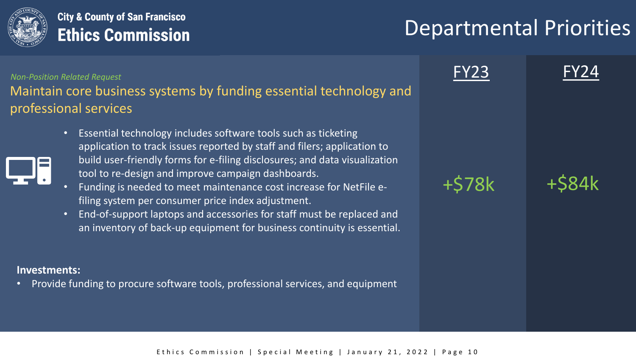

## Departmental Priorities

Maintain core business systems by funding essential technology and professional services *Non-Position Related Request*

- Essential technology includes software tools such as ticketing application to track issues reported by staff and filers; application to build user-friendly forms for e-filing disclosures; and data visualization tool to re-design and improve campaign dashboards.
- Funding is needed to meet maintenance cost increase for NetFile efiling system per consumer price index adjustment.
- End-of-support laptops and accessories for staff must be replaced and an inventory of back-up equipment for business continuity is essential.

#### **Investments:**

• Provide funding to procure software tools, professional services, and equipment



 $+578k$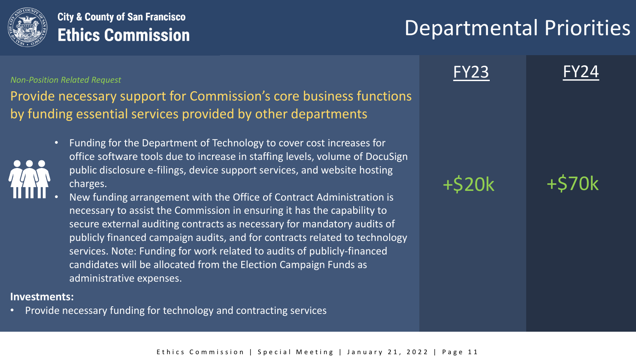

## Departmental Priorities

#### *Non-Position Related Request*

Provide necessary support for Commission's core business functions by funding essential services provided by other departments

- Funding for the Department of Technology to cover cost increases for office software tools due to increase in staffing levels, volume of DocuSign public disclosure e-filings, device support services, and website hosting charges.
- New funding arrangement with the Office of Contract Administration is necessary to assist the Commission in ensuring it has the capability to secure external auditing contracts as necessary for mandatory audits of publicly financed campaign audits, and for contracts related to technology services. Note: Funding for work related to audits of publicly-financed candidates will be allocated from the Election Campaign Funds as administrative expenses.

#### **Investments:**

• Provide necessary funding for technology and contracting services

**FY23** 



+\$20k +\$70k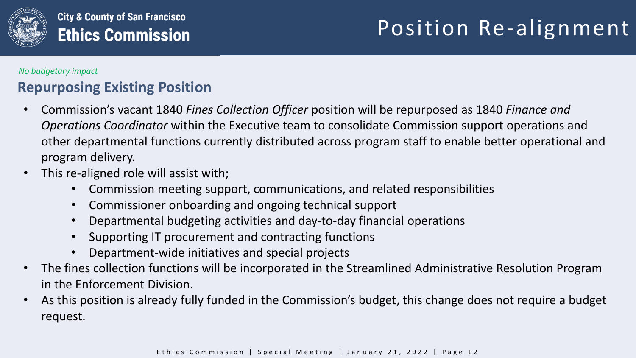

#### *No budgetary impact*

## **Repurposing Existing Position**

- Commission's vacant 1840 *Fines Collection Officer* position will be repurposed as 1840 *Finance and Operations Coordinator* within the Executive team to consolidate Commission support operations and other departmental functions currently distributed across program staff to enable better operational and program delivery.
- This re-aligned role will assist with;
	- Commission meeting support, communications, and related responsibilities
	- Commissioner onboarding and ongoing technical support
	- Departmental budgeting activities and day-to-day financial operations
	- Supporting IT procurement and contracting functions
	- Department-wide initiatives and special projects
- The fines collection functions will be incorporated in the Streamlined Administrative Resolution Program in the Enforcement Division.
- As this position is already fully funded in the Commission's budget, this change does not require a budget request.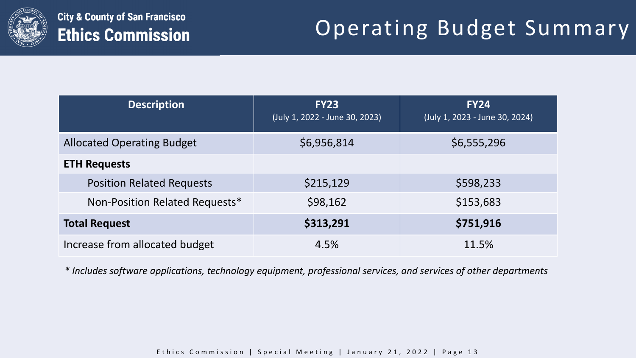

# Operating Budget Summary

| <b>Description</b>                | <b>FY23</b><br>(July 1, 2022 - June 30, 2023) | <b>FY24</b><br>(July 1, 2023 - June 30, 2024) |
|-----------------------------------|-----------------------------------------------|-----------------------------------------------|
| <b>Allocated Operating Budget</b> | \$6,956,814                                   | \$6,555,296                                   |
| <b>ETH Requests</b>               |                                               |                                               |
| <b>Position Related Requests</b>  | \$215,129                                     | \$598,233                                     |
| Non-Position Related Requests*    | \$98,162                                      | \$153,683                                     |
| <b>Total Request</b>              | \$313,291                                     | \$751,916                                     |
| Increase from allocated budget    | 4.5%                                          | 11.5%                                         |

*\* Includes software applications, technology equipment, professional services, and services of other departments*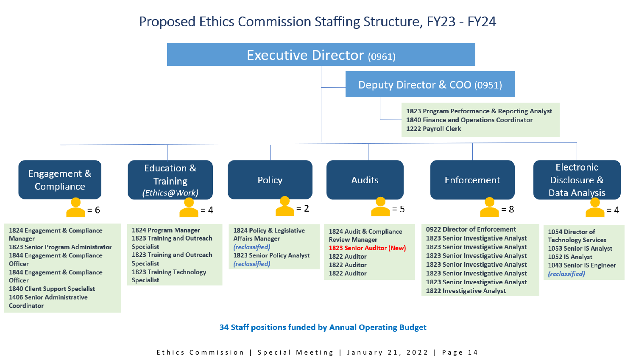### Proposed Ethics Commission Staffing Structure, FY23 - FY24



Coordinator

34 Staff positions funded by Annual Operating Budget